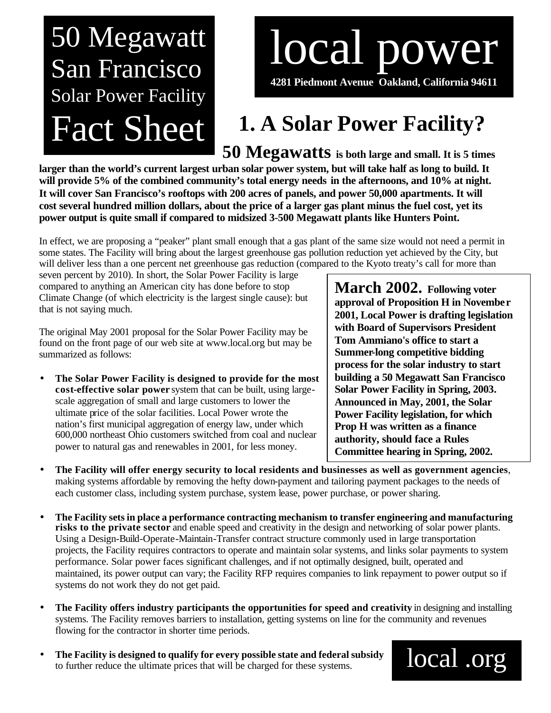## 50 Megawatt San Francisco Solar Power Facility Fact Sheet

# local power

**4281 Piedmont Avenue Oakland, California 94611**

### **1. A Solar Power Facility?**

**50 Megawatts is both large and small. It is 5 times** 

**larger than the world's current largest urban solar power system, but will take half as long to build. It will provide 5% of the combined community's total energy needs in the afternoons, and 10% at night. It will cover San Francisco's rooftops with 200 acres of panels, and power 50,000 apartments. It will cost several hundred million dollars, about the price of a larger gas plant minus the fuel cost, yet its power output is quite small if compared to midsized 3-500 Megawatt plants like Hunters Point.**

In effect, we are proposing a "peaker" plant small enough that a gas plant of the same size would not need a permit in some states. The Facility will bring about the largest greenhouse gas pollution reduction yet achieved by the City, but will deliver less than a one percent net greenhouse gas reduction (compared to the Kyoto treaty's call for more than

seven percent by 2010). In short, the Solar Power Facility is large compared to anything an American city has done before to stop Climate Change (of which electricity is the largest single cause): but that is not saying much.

The original May 2001 proposal for the Solar Power Facility may be found on the front page of our web site at www.local.org but may be summarized as follows:

• **The Solar Power Facility is designed to provide for the most cost-effective solar power** system that can be built, using largescale aggregation of small and large customers to lower the ultimate price of the solar facilities. Local Power wrote the nation's first municipal aggregation of energy law, under which 600,000 northeast Ohio customers switched from coal and nuclear power to natural gas and renewables in 2001, for less money.

**March 2002. Following voter approval of Proposition H in November 2001, Local Power is drafting legislation with Board of Supervisors President Tom Ammiano's office to start a Summer-long competitive bidding process for the solar industry to start building a 50 Megawatt San Francisco Solar Power Facility in Spring, 2003. Announced in May, 2001, the Solar Power Facility legislation, for which Prop H was written as a finance authority, should face a Rules Committee hearing in Spring, 2002.**

- **The Facility will offer energy security to local residents and businesses as well as government agencies**, making systems affordable by removing the hefty down-payment and tailoring payment packages to the needs of each customer class, including system purchase, system lease, power purchase, or power sharing.
- **The Facility sets in place a performance contracting mechanism to transfer engineering and manufacturing risks to the private sector** and enable speed and creativity in the design and networking of solar power plants. Using a Design-Build-Operate-Maintain-Transfer contract structure commonly used in large transportation projects, the Facility requires contractors to operate and maintain solar systems, and links solar payments to system performance. Solar power faces significant challenges, and if not optimally designed, built, operated and maintained, its power output can vary; the Facility RFP requires companies to link repayment to power output so if systems do not work they do not get paid.
- **The Facility offers industry participants the opportunities for speed and creativity** in designing and installing systems. The Facility removes barriers to installation, getting systems on line for the community and revenues flowing for the contractor in shorter time periods.
- **The Facility is designed to qualify for every possible state and federal subsidy** to further reduce the ultimate prices that will be charged for these systems.